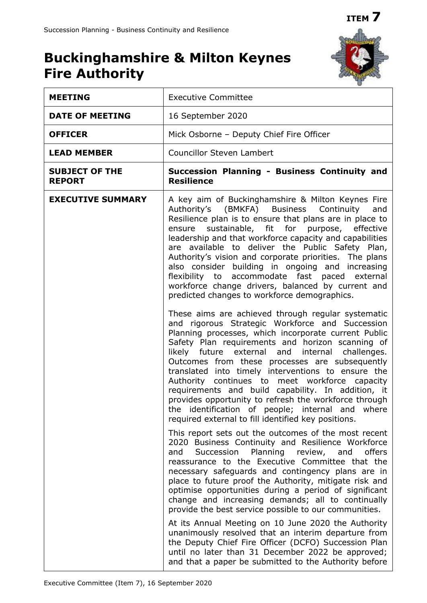## **ITEM 7**

## **Buckinghamshire & Milton Keynes Fire Authority**



| <b>MEETING</b>                         | <b>Executive Committee</b>                                                                                                                                                                                                                                                                                                                                                                                                                                                                                                                                                                                                                                                                                                                                                                                                                                                                                                                                                                                                                                                                                                                                                                                                                                          |
|----------------------------------------|---------------------------------------------------------------------------------------------------------------------------------------------------------------------------------------------------------------------------------------------------------------------------------------------------------------------------------------------------------------------------------------------------------------------------------------------------------------------------------------------------------------------------------------------------------------------------------------------------------------------------------------------------------------------------------------------------------------------------------------------------------------------------------------------------------------------------------------------------------------------------------------------------------------------------------------------------------------------------------------------------------------------------------------------------------------------------------------------------------------------------------------------------------------------------------------------------------------------------------------------------------------------|
| <b>DATE OF MEETING</b>                 | 16 September 2020                                                                                                                                                                                                                                                                                                                                                                                                                                                                                                                                                                                                                                                                                                                                                                                                                                                                                                                                                                                                                                                                                                                                                                                                                                                   |
| <b>OFFICER</b>                         | Mick Osborne - Deputy Chief Fire Officer                                                                                                                                                                                                                                                                                                                                                                                                                                                                                                                                                                                                                                                                                                                                                                                                                                                                                                                                                                                                                                                                                                                                                                                                                            |
| <b>LEAD MEMBER</b>                     | <b>Councillor Steven Lambert</b>                                                                                                                                                                                                                                                                                                                                                                                                                                                                                                                                                                                                                                                                                                                                                                                                                                                                                                                                                                                                                                                                                                                                                                                                                                    |
| <b>SUBJECT OF THE</b><br><b>REPORT</b> | Succession Planning - Business Continuity and<br><b>Resilience</b>                                                                                                                                                                                                                                                                                                                                                                                                                                                                                                                                                                                                                                                                                                                                                                                                                                                                                                                                                                                                                                                                                                                                                                                                  |
| <b>EXECUTIVE SUMMARY</b>               | A key aim of Buckinghamshire & Milton Keynes Fire<br>Authority's (BMKFA) Business<br>Continuity<br>and<br>Resilience plan is to ensure that plans are in place to<br>ensure sustainable, fit for purpose, effective<br>leadership and that workforce capacity and capabilities<br>are available to deliver the Public Safety Plan,<br>Authority's vision and corporate priorities. The plans<br>also consider building in ongoing and increasing<br>flexibility to accommodate fast paced external<br>workforce change drivers, balanced by current and<br>predicted changes to workforce demographics.<br>These aims are achieved through regular systematic<br>and rigorous Strategic Workforce and Succession<br>Planning processes, which incorporate current Public<br>Safety Plan requirements and horizon scanning of<br>likely future external and internal challenges.<br>Outcomes from these processes are subsequently<br>translated into timely interventions to ensure the<br>Authority continues to meet workforce capacity<br>requirements and build capability. In addition, it<br>provides opportunity to refresh the workforce through<br>the identification of people; internal and where<br>required external to fill identified key positions. |
|                                        | This report sets out the outcomes of the most recent<br>2020 Business Continuity and Resilience Workforce<br>Succession<br>Planning review,<br>and<br>and<br>offers<br>reassurance to the Executive Committee that the<br>necessary safeguards and contingency plans are in<br>place to future proof the Authority, mitigate risk and<br>optimise opportunities during a period of significant<br>change and increasing demands; all to continually<br>provide the best service possible to our communities.<br>At its Annual Meeting on 10 June 2020 the Authority<br>unanimously resolved that an interim departure from<br>the Deputy Chief Fire Officer (DCFO) Succession Plan<br>until no later than 31 December 2022 be approved;                                                                                                                                                                                                                                                                                                                                                                                                                                                                                                                             |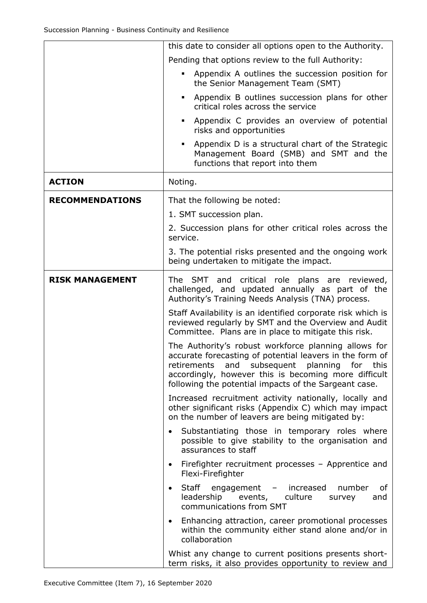|                        | this date to consider all options open to the Authority.                                                                                                                                                                                                                                |
|------------------------|-----------------------------------------------------------------------------------------------------------------------------------------------------------------------------------------------------------------------------------------------------------------------------------------|
|                        | Pending that options review to the full Authority:                                                                                                                                                                                                                                      |
|                        | Appendix A outlines the succession position for<br>$\blacksquare$<br>the Senior Management Team (SMT)                                                                                                                                                                                   |
|                        | Appendix B outlines succession plans for other<br>٠<br>critical roles across the service                                                                                                                                                                                                |
|                        | Appendix C provides an overview of potential<br>٠<br>risks and opportunities                                                                                                                                                                                                            |
|                        | Appendix D is a structural chart of the Strategic<br>٠<br>Management Board (SMB) and SMT and the<br>functions that report into them                                                                                                                                                     |
| <b>ACTION</b>          | Noting.                                                                                                                                                                                                                                                                                 |
| <b>RECOMMENDATIONS</b> | That the following be noted:                                                                                                                                                                                                                                                            |
|                        | 1. SMT succession plan.                                                                                                                                                                                                                                                                 |
|                        | 2. Succession plans for other critical roles across the<br>service.                                                                                                                                                                                                                     |
|                        | 3. The potential risks presented and the ongoing work<br>being undertaken to mitigate the impact.                                                                                                                                                                                       |
| <b>RISK MANAGEMENT</b> | The SMT and critical role plans are reviewed,<br>challenged, and updated annually as part of the<br>Authority's Training Needs Analysis (TNA) process.                                                                                                                                  |
|                        | Staff Availability is an identified corporate risk which is<br>reviewed regularly by SMT and the Overview and Audit<br>Committee. Plans are in place to mitigate this risk.                                                                                                             |
|                        | The Authority's robust workforce planning allows for<br>accurate forecasting of potential leavers in the form of<br>retirements<br>and subsequent planning for<br>this<br>accordingly, however this is becoming more difficult<br>following the potential impacts of the Sargeant case. |
|                        | Increased recruitment activity nationally, locally and<br>other significant risks (Appendix C) which may impact<br>on the number of leavers are being mitigated by:                                                                                                                     |
|                        | Substantiating those in temporary roles where<br>possible to give stability to the organisation and<br>assurances to staff                                                                                                                                                              |
|                        | Firefighter recruitment processes - Apprentice and<br>Flexi-Firefighter                                                                                                                                                                                                                 |
|                        | Staff engagement - increased<br>number<br>of<br>leadership events, culture<br>and<br>survey<br>communications from SMT                                                                                                                                                                  |
|                        | Enhancing attraction, career promotional processes<br>٠<br>within the community either stand alone and/or in<br>collaboration                                                                                                                                                           |
|                        | Whist any change to current positions presents short-<br>term risks, it also provides opportunity to review and                                                                                                                                                                         |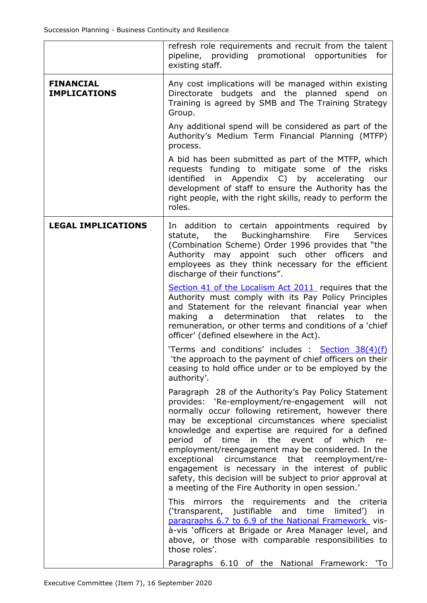|                                         | refresh role requirements and recruit from the talent<br>pipeline, providing promotional opportunities<br>for<br>existing staff.                                                                                                                                                                                                                                                                                                                                                                                                                                                                          |
|-----------------------------------------|-----------------------------------------------------------------------------------------------------------------------------------------------------------------------------------------------------------------------------------------------------------------------------------------------------------------------------------------------------------------------------------------------------------------------------------------------------------------------------------------------------------------------------------------------------------------------------------------------------------|
| <b>FINANCIAL</b><br><b>IMPLICATIONS</b> | Any cost implications will be managed within existing<br>Directorate budgets and the planned spend on<br>Training is agreed by SMB and The Training Strategy<br>Group.                                                                                                                                                                                                                                                                                                                                                                                                                                    |
|                                         | Any additional spend will be considered as part of the<br>Authority's Medium Term Financial Planning (MTFP)<br>process.                                                                                                                                                                                                                                                                                                                                                                                                                                                                                   |
|                                         | A bid has been submitted as part of the MTFP, which<br>requests funding to mitigate some of the<br>risks<br>identified in Appendix C) by accelerating<br>our<br>development of staff to ensure the Authority has the<br>right people, with the right skills, ready to perform the<br>roles.                                                                                                                                                                                                                                                                                                               |
| <b>LEGAL IMPLICATIONS</b>               | In addition to certain appointments required by<br>Buckinghamshire<br>the<br>Fire<br><b>Services</b><br>statute,<br>(Combination Scheme) Order 1996 provides that "the<br>Authority may appoint such other officers and<br>employees as they think necessary for the efficient<br>discharge of their functions".                                                                                                                                                                                                                                                                                          |
|                                         | Section 41 of the Localism Act 2011 requires that the<br>Authority must comply with its Pay Policy Principles<br>and Statement for the relevant financial year when<br>determination<br>that<br>relates<br>to<br>the<br>making<br>$\overline{a}$<br>remuneration, or other terms and conditions of a 'chief<br>officer' (defined elsewhere in the Act).                                                                                                                                                                                                                                                   |
|                                         | 'Terms and conditions' includes : Section 38(4)(f)<br>'the approach to the payment of chief officers on their<br>ceasing to hold office under or to be employed by the<br>authority'.                                                                                                                                                                                                                                                                                                                                                                                                                     |
|                                         | Paragraph 28 of the Authority's Pay Policy Statement<br>provides: 'Re-employment/re-engagement will not<br>normally occur following retirement, however there<br>may be exceptional circumstances where specialist<br>knowledge and expertise are required for a defined<br>period of time in the event of which<br>re-<br>employment/reengagement may be considered. In the<br>circumstance that reemployment/re-<br>exceptional<br>engagement is necessary in the interest of public<br>safety, this decision will be subject to prior approval at<br>a meeting of the Fire Authority in open session.' |
|                                         | This mirrors the requirements and the criteria<br>('transparent, justifiable and time<br>limited')<br>in<br>paragraphs 6.7 to 6.9 of the National Framework vis-<br>à-vis 'officers at Brigade or Area Manager level, and<br>above, or those with comparable responsibilities to<br>those roles'.                                                                                                                                                                                                                                                                                                         |
|                                         | Paragraphs 6.10 of the National Framework: 'To                                                                                                                                                                                                                                                                                                                                                                                                                                                                                                                                                            |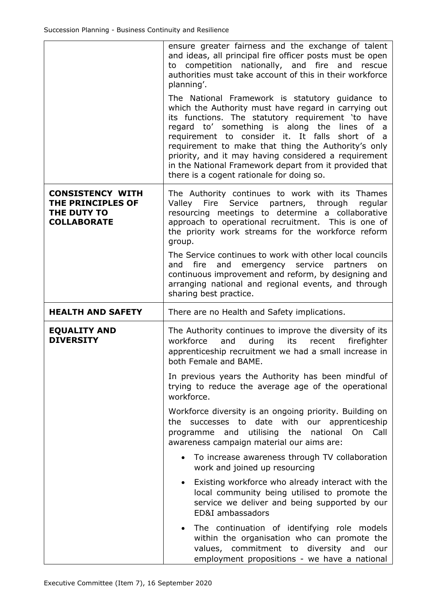|                                                                                   | ensure greater fairness and the exchange of talent<br>and ideas, all principal fire officer posts must be open<br>to competition nationally, and fire and rescue<br>authorities must take account of this in their workforce<br>planning'.                                                                                                                                                                                                                                                  |
|-----------------------------------------------------------------------------------|---------------------------------------------------------------------------------------------------------------------------------------------------------------------------------------------------------------------------------------------------------------------------------------------------------------------------------------------------------------------------------------------------------------------------------------------------------------------------------------------|
|                                                                                   | The National Framework is statutory guidance to<br>which the Authority must have regard in carrying out<br>its functions. The statutory requirement 'to have<br>regard to' something is along the lines of a<br>requirement to consider it. It falls<br>short<br>of a<br>requirement to make that thing the Authority's only<br>priority, and it may having considered a requirement<br>in the National Framework depart from it provided that<br>there is a cogent rationale for doing so. |
| <b>CONSISTENCY WITH</b><br>THE PRINCIPLES OF<br>THE DUTY TO<br><b>COLLABORATE</b> | The Authority continues to work with its Thames<br>Service partners, through<br>Valley Fire<br>regular<br>resourcing meetings to determine a collaborative<br>approach to operational recruitment. This is one of<br>the priority work streams for the workforce reform<br>group.                                                                                                                                                                                                           |
|                                                                                   | The Service continues to work with other local councils<br>fire<br>and<br>emergency service<br>partners<br>and<br>on<br>continuous improvement and reform, by designing and<br>arranging national and regional events, and through<br>sharing best practice.                                                                                                                                                                                                                                |
|                                                                                   |                                                                                                                                                                                                                                                                                                                                                                                                                                                                                             |
| <b>HEALTH AND SAFETY</b>                                                          | There are no Health and Safety implications.                                                                                                                                                                                                                                                                                                                                                                                                                                                |
| <b>EQUALITY AND</b><br><b>DIVERSITY</b>                                           | The Authority continues to improve the diversity of its<br>workforce<br>during<br>firefighter<br>and<br>its<br>recent<br>apprenticeship recruitment we had a small increase in<br>both Female and BAME.                                                                                                                                                                                                                                                                                     |
|                                                                                   | In previous years the Authority has been mindful of<br>trying to reduce the average age of the operational<br>workforce.                                                                                                                                                                                                                                                                                                                                                                    |
|                                                                                   | Workforce diversity is an ongoing priority. Building on<br>successes to date with our apprenticeship<br>the<br>programme and utilising the national On<br>Call<br>awareness campaign material our aims are:                                                                                                                                                                                                                                                                                 |
|                                                                                   | To increase awareness through TV collaboration<br>work and joined up resourcing                                                                                                                                                                                                                                                                                                                                                                                                             |
|                                                                                   | Existing workforce who already interact with the<br>$\bullet$<br>local community being utilised to promote the<br>service we deliver and being supported by our<br>ED&I ambassadors                                                                                                                                                                                                                                                                                                         |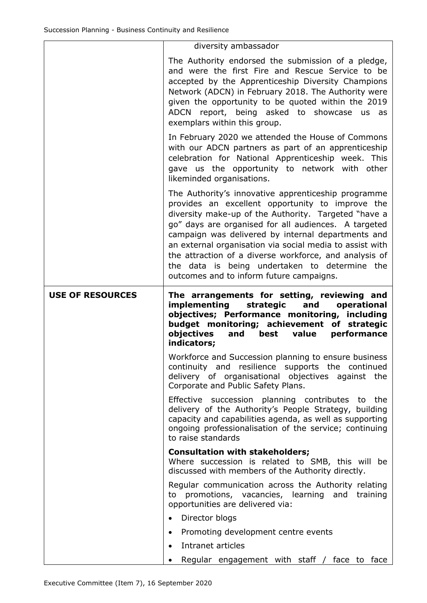|                         | diversity ambassador                                                                                                                                                                                                                                                                                                                                                                                                                                                                             |
|-------------------------|--------------------------------------------------------------------------------------------------------------------------------------------------------------------------------------------------------------------------------------------------------------------------------------------------------------------------------------------------------------------------------------------------------------------------------------------------------------------------------------------------|
|                         | The Authority endorsed the submission of a pledge,<br>and were the first Fire and Rescue Service to be<br>accepted by the Apprenticeship Diversity Champions<br>Network (ADCN) in February 2018. The Authority were<br>given the opportunity to be quoted within the 2019<br>ADCN report, being asked to showcase us<br>as<br>exemplars within this group.                                                                                                                                       |
|                         | In February 2020 we attended the House of Commons<br>with our ADCN partners as part of an apprenticeship<br>celebration for National Apprenticeship week. This<br>gave us the opportunity to network with other<br>likeminded organisations.                                                                                                                                                                                                                                                     |
|                         | The Authority's innovative apprenticeship programme<br>provides an excellent opportunity to improve the<br>diversity make-up of the Authority. Targeted "have a<br>go" days are organised for all audiences. A targeted<br>campaign was delivered by internal departments and<br>an external organisation via social media to assist with<br>the attraction of a diverse workforce, and analysis of<br>the data is being undertaken to determine the<br>outcomes and to inform future campaigns. |
| <b>USE OF RESOURCES</b> | The arrangements for setting, reviewing and                                                                                                                                                                                                                                                                                                                                                                                                                                                      |
|                         | <b>implementing</b><br>strategic<br>and<br>operational<br>objectives; Performance monitoring, including<br>budget monitoring; achievement of strategic<br>objectives<br>best value<br>performance<br>and<br>indicators;                                                                                                                                                                                                                                                                          |
|                         | Workforce and Succession planning to ensure business<br>continuity and resilience supports the continued<br>delivery of organisational objectives against the<br>Corporate and Public Safety Plans.                                                                                                                                                                                                                                                                                              |
|                         | Effective succession planning contributes to the<br>delivery of the Authority's People Strategy, building<br>capacity and capabilities agenda, as well as supporting<br>ongoing professionalisation of the service; continuing<br>to raise standards                                                                                                                                                                                                                                             |
|                         | <b>Consultation with stakeholders;</b><br>Where succession is related to SMB, this will be<br>discussed with members of the Authority directly.                                                                                                                                                                                                                                                                                                                                                  |
|                         | Regular communication across the Authority relating<br>to promotions, vacancies, learning and training<br>opportunities are delivered via:                                                                                                                                                                                                                                                                                                                                                       |
|                         | Director blogs                                                                                                                                                                                                                                                                                                                                                                                                                                                                                   |
|                         | Promoting development centre events                                                                                                                                                                                                                                                                                                                                                                                                                                                              |
|                         | Intranet articles                                                                                                                                                                                                                                                                                                                                                                                                                                                                                |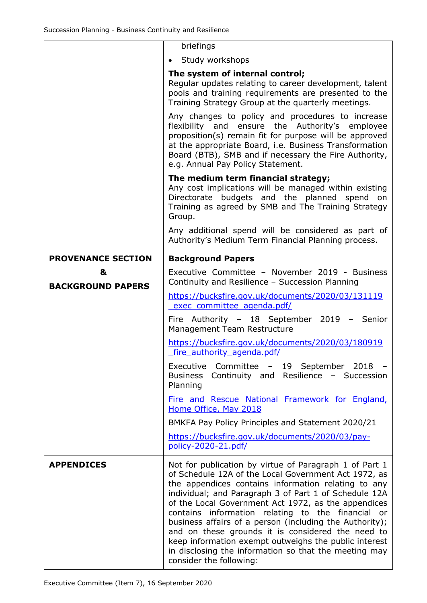|                               | briefings                                                                                                                                                                                                                                                                                                             |
|-------------------------------|-----------------------------------------------------------------------------------------------------------------------------------------------------------------------------------------------------------------------------------------------------------------------------------------------------------------------|
|                               | Study workshops<br>$\bullet$                                                                                                                                                                                                                                                                                          |
|                               | The system of internal control;<br>Regular updates relating to career development, talent<br>pools and training requirements are presented to the<br>Training Strategy Group at the quarterly meetings.                                                                                                               |
|                               | Any changes to policy and procedures to increase<br>flexibility and ensure the Authority's employee<br>proposition(s) remain fit for purpose will be approved<br>at the appropriate Board, i.e. Business Transformation<br>Board (BTB), SMB and if necessary the Fire Authority,<br>e.g. Annual Pay Policy Statement. |
|                               | The medium term financial strategy;<br>Any cost implications will be managed within existing<br>Directorate budgets and the planned<br>spend<br>on<br>Training as agreed by SMB and The Training Strategy<br>Group.                                                                                                   |
|                               | Any additional spend will be considered as part of<br>Authority's Medium Term Financial Planning process.                                                                                                                                                                                                             |
| <b>PROVENANCE SECTION</b>     | <b>Background Papers</b>                                                                                                                                                                                                                                                                                              |
| &<br><b>BACKGROUND PAPERS</b> | Executive Committee - November 2019 - Business<br>Continuity and Resilience - Succession Planning                                                                                                                                                                                                                     |
|                               | https://bucksfire.gov.uk/documents/2020/03/131119<br>exec committee agenda.pdf/                                                                                                                                                                                                                                       |
|                               | Fire Authority - 18 September 2019 - Senior<br>Management Team Restructure                                                                                                                                                                                                                                            |
|                               | https://bucksfire.gov.uk/documents/2020/03/180919<br>fire authority agenda.pdf/                                                                                                                                                                                                                                       |
|                               | Executive<br>Committee - 19 September 2018 -<br>Continuity and Resilience - Succession<br><b>Business</b><br>Planning                                                                                                                                                                                                 |
|                               | Fire and Rescue National Framework for England,<br>Home Office, May 2018                                                                                                                                                                                                                                              |
|                               | BMKFA Pay Policy Principles and Statement 2020/21                                                                                                                                                                                                                                                                     |
|                               | https://bucksfire.gov.uk/documents/2020/03/pay-<br>policy-2020-21.pdf/                                                                                                                                                                                                                                                |
| <b>APPENDICES</b>             | Not for publication by virtue of Paragraph 1 of Part 1<br>of Schedule 12A of the Local Government Act 1972, as                                                                                                                                                                                                        |